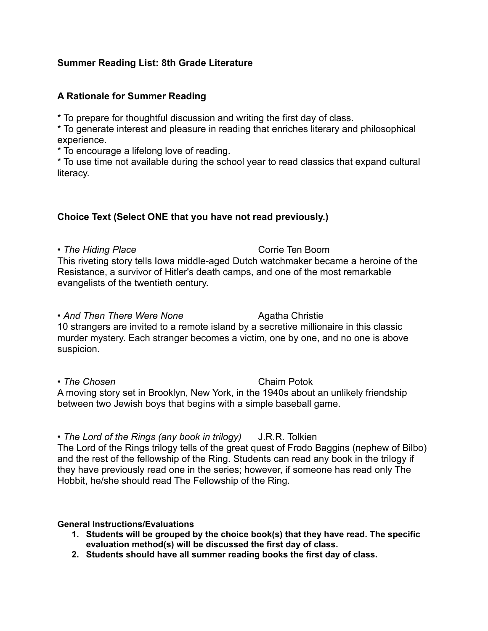## **Summer Reading List: 8th Grade Literature**

## **A Rationale for Summer Reading**

\* To prepare for thoughtful discussion and writing the first day of class.

\* To generate interest and pleasure in reading that enriches literary and philosophical experience.

\* To encourage a lifelong love of reading.

\* To use time not available during the school year to read classics that expand cultural literacy.

## **Choice Text (Select ONE that you have not read previously.)**

• The Hiding Place **Corrie Ten Boom** This riveting story tells Iowa middle-aged Dutch watchmaker became a heroine of the Resistance, a survivor of Hitler's death camps, and one of the most remarkable evangelists of the twentieth century.

• And Then There Were None **Agatha Christie** 10 strangers are invited to a remote island by a secretive millionaire in this classic murder mystery. Each stranger becomes a victim, one by one, and no one is above suspicion.

• The Chosen **Chaim Potok** Chaim Potok A moving story set in Brooklyn, New York, in the 1940s about an unlikely friendship between two Jewish boys that begins with a simple baseball game.

• *The Lord of the Rings (any book in trilogy)* J.R.R. Tolkien The Lord of the Rings trilogy tells of the great quest of Frodo Baggins (nephew of Bilbo) and the rest of the fellowship of the Ring. Students can read any book in the trilogy if they have previously read one in the series; however, if someone has read only The Hobbit, he/she should read The Fellowship of the Ring.

## **General Instructions/Evaluations**

- **1. Students will be grouped by the choice book(s) that they have read. The specific evaluation method(s) will be discussed the first day of class.**
- **2. Students should have all summer reading books the first day of class.**